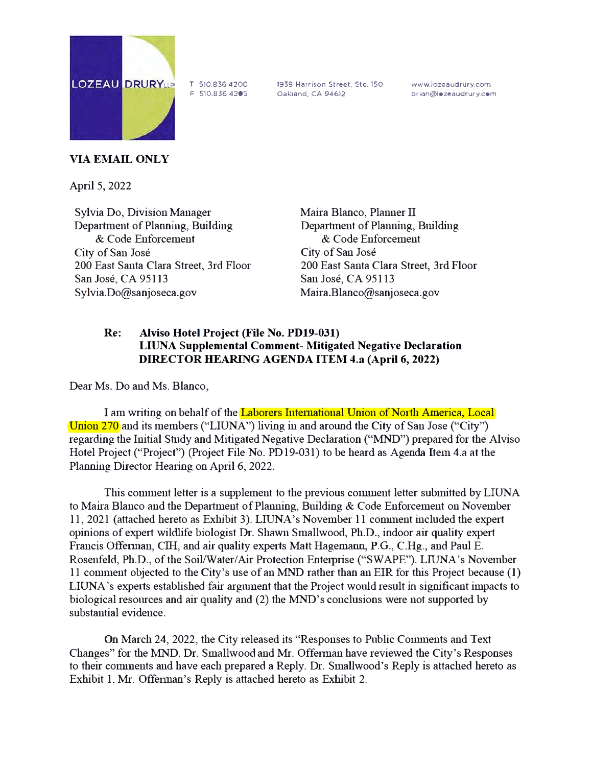

T 510.836 *4200*  F 510.836 *4205*  1939 Harrison *Street, Ste.* 150 Oakland. CA 94612

www.lozeaudrury.com brian@lozeaudrury.com

## **VIA EMAIL ONLY**

April 5, 2022

Sylvia Do, Division Manager Department of Planning, Building & Code Enforcement City of Sau Jose 200 East Santa Clara Street, 3rd Floor San Jose, CA 95113 Sylvia.Do@sanjoseca.gov

Maira Blanco, Planner II Department of Planning, Building & Code Enforcement City of San Jose 200 East Santa Clara Street, 3rd Floor San Jose, CA 95113 Maira .Blanco@sanjoseca.gov

## **Re: Alviso Hotel Project (File No. PDl9-031) LIUNA Supplemental Comment- Mitigated Negative Declaration DIRECTOR HEARING AGENDA ITEM 4.a (April 6, 2022)**

Dear Ms. Do and Ms. Blanco,

I am writing on behalf of the Laborers International Union of N011h America, Local Union 270 and its members ("LIUNA") living in and around the City of San Jose ("City") regarding the Initial Study and Mitigated Negative Declaration ("MND") prepared for the Alviso Hotel Project ("Project") (Project File No. PD 19-031) to be heard as Agenda Item 4.a at the Planning Director Hearing on April 6, 2022.

This comment letter is a supplement to the previous connuent letter submitted by LIUNA to Maira Blanco and the Department of Planning, Building  $\&$  Code Enforcement on November 11, 2021 (attached hereto as Exhibit 3). LIUNA's November 11 comment included the expert opinions of expert wildlife biologist Dr. Shawn Smallwood, Ph.D., indoor air quality expert Francis Offerman, CIH, and air quality experts Matt Hagemann, P.G., C.Hg., and Paul E. Rosenfeld, Ph.D., of the Soil/Water/Air Protection Enterprise ("SWAPE"). LIUNA's November 11 comment objected to the City's use of an MND rather than an EIR for this Project because (1) LIUNA's experts established fair argument that the Project would result in significant impacts to biological resources and air quality and (2) the MND's conclusions were not supported by substantial evidence.

On March 24, 2022, the City released its "Responses to Public Comments and Text Changes" for the MND. Dr. Smallwood and Mr. Offerman have reviewed the City's Responses to their comments and have each prepared a Reply. Dr. Smallwood's Reply is attached hereto as Exhibit 1. Mr. Offennan's Reply is attached hereto as Exhibit 2.